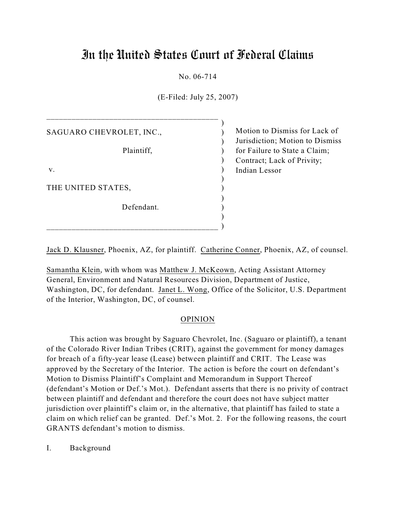# In the United States Court of Federal Claims

# No. 06-714

(E-Filed: July 25, 2007)

| SAGUARO CHEVROLET, INC., | Motion to I  |
|--------------------------|--------------|
|                          | Jurisdiction |
| Plaintiff,               | for Failure  |
|                          | Contract; L  |
| V.                       | Indian Less  |
|                          |              |
| THE UNITED STATES,       |              |
|                          |              |
| Defendant.               |              |
|                          |              |
|                          |              |

\_\_\_\_\_\_\_\_\_\_\_\_\_\_\_\_\_\_\_\_\_\_\_\_\_\_\_\_\_\_\_\_\_\_\_\_\_\_\_\_\_

Dismiss for Lack of 1: Motion to Dismiss to State a Claim; ack of Privity;  $\overline{\text{or}}$ 

Jack D. Klausner, Phoenix, AZ, for plaintiff. Catherine Conner, Phoenix, AZ, of counsel.

 $\qquad \qquad$ 

Samantha Klein, with whom was Matthew J. McKeown, Acting Assistant Attorney General, Environment and Natural Resources Division, Department of Justice, Washington, DC, for defendant. Janet L. Wong, Office of the Solicitor, U.S. Department of the Interior, Washington, DC, of counsel.

#### OPINION

This action was brought by Saguaro Chevrolet, Inc. (Saguaro or plaintiff), a tenant of the Colorado River Indian Tribes (CRIT), against the government for money damages for breach of a fifty-year lease (Lease) between plaintiff and CRIT. The Lease was approved by the Secretary of the Interior. The action is before the court on defendant's Motion to Dismiss Plaintiff's Complaint and Memorandum in Support Thereof (defendant's Motion or Def.'s Mot.). Defendant asserts that there is no privity of contract between plaintiff and defendant and therefore the court does not have subject matter jurisdiction over plaintiff's claim or, in the alternative, that plaintiff has failed to state a claim on which relief can be granted. Def.'s Mot. 2. For the following reasons, the court GRANTS defendant's motion to dismiss.

I. Background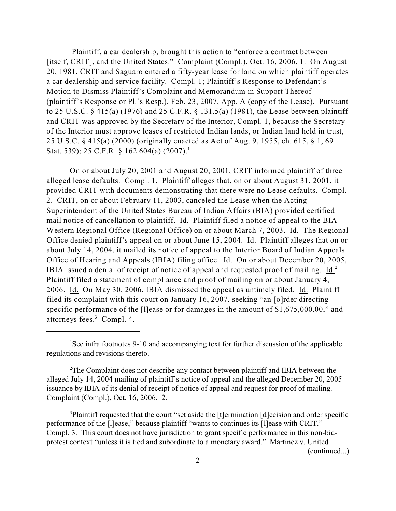Plaintiff, a car dealership, brought this action to "enforce a contract between [itself, CRIT], and the United States." Complaint (Compl.), Oct. 16, 2006, 1. On August 20, 1981, CRIT and Saguaro entered a fifty-year lease for land on which plaintiff operates a car dealership and service facility. Compl. 1; Plaintiff's Response to Defendant's Motion to Dismiss Plaintiff's Complaint and Memorandum in Support Thereof (plaintiff's Response or Pl.'s Resp.), Feb. 23, 2007, App. A (copy of the Lease). Pursuant to 25 U.S.C. § 415(a) (1976) and 25 C.F.R. § 131.5(a) (1981), the Lease between plaintiff and CRIT was approved by the Secretary of the Interior, Compl. 1, because the Secretary of the Interior must approve leases of restricted Indian lands, or Indian land held in trust, 25 U.S.C. § 415(a) (2000) (originally enacted as Act of Aug. 9, 1955, ch. 615, § 1, 69 Stat. 539); 25 C.F.R. § 162.604(a) (2007).<sup>1</sup>

On or about July 20, 2001 and August 20, 2001, CRIT informed plaintiff of three alleged lease defaults. Compl. 1. Plaintiff alleges that, on or about August 31, 2001, it provided CRIT with documents demonstrating that there were no Lease defaults. Compl. 2. CRIT, on or about February 11, 2003, canceled the Lease when the Acting Superintendent of the United States Bureau of Indian Affairs (BIA) provided certified mail notice of cancellation to plaintiff. Id. Plaintiff filed a notice of appeal to the BIA Western Regional Office (Regional Office) on or about March 7, 2003. Id. The Regional Office denied plaintiff's appeal on or about June 15, 2004. Id. Plaintiff alleges that on or about July 14, 2004, it mailed its notice of appeal to the Interior Board of Indian Appeals Office of Hearing and Appeals (IBIA) filing office. Id. On or about December 20, 2005, IBIA issued a denial of receipt of notice of appeal and requested proof of mailing. Id.<sup>2</sup> Plaintiff filed a statement of compliance and proof of mailing on or about January 4, 2006. Id. On May 30, 2006, IBIA dismissed the appeal as untimely filed. Id. Plaintiff filed its complaint with this court on January 16, 2007, seeking "an [o]rder directing specific performance of the [I]ease or for damages in the amount of \$1,675,000.00," and attorneys fees.<sup>3</sup> Compl. 4.

<sup>3</sup>Plaintiff requested that the court "set aside the [t]ermination [d]ecision and order specific performance of the [l]ease," because plaintiff "wants to continues its [l]ease with CRIT." Compl. 3. This court does not have jurisdiction to grant specific performance in this non-bidprotest context "unless it is tied and subordinate to a monetary award." Martinez v. United

(continued...)

<sup>&</sup>lt;sup>1</sup>See infra footnotes 9-10 and accompanying text for further discussion of the applicable regulations and revisions thereto.

<sup>&</sup>lt;sup>2</sup>The Complaint does not describe any contact between plaintiff and IBIA between the alleged July 14, 2004 mailing of plaintiff's notice of appeal and the alleged December 20, 2005 issuance by IBIA of its denial of receipt of notice of appeal and request for proof of mailing. Complaint (Compl.), Oct. 16, 2006, 2.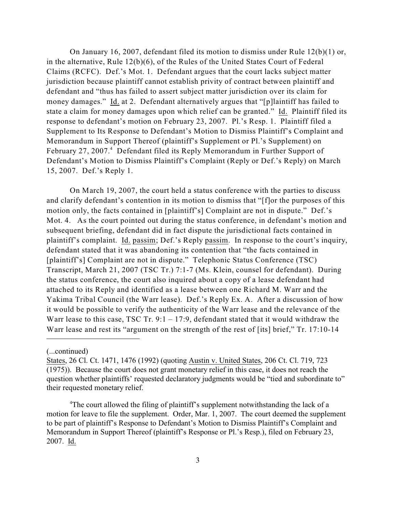On January 16, 2007, defendant filed its motion to dismiss under Rule 12(b)(1) or, in the alternative, Rule 12(b)(6), of the Rules of the United States Court of Federal Claims (RCFC). Def.'s Mot. 1. Defendant argues that the court lacks subject matter jurisdiction because plaintiff cannot establish privity of contract between plaintiff and defendant and "thus has failed to assert subject matter jurisdiction over its claim for money damages." Id. at 2. Defendant alternatively argues that "[p]laintiff has failed to state a claim for money damages upon which relief can be granted." Id. Plaintiff filed its response to defendant's motion on February 23, 2007. Pl.'s Resp. 1. Plaintiff filed a Supplement to Its Response to Defendant's Motion to Dismiss Plaintiff's Complaint and Memorandum in Support Thereof (plaintiff's Supplement or Pl.'s Supplement) on February 27, 2007.<sup>4</sup> Defendant filed its Reply Memorandum in Further Support of Defendant's Motion to Dismiss Plaintiff's Complaint (Reply or Def.'s Reply) on March 15, 2007. Def.'s Reply 1.

On March 19, 2007, the court held a status conference with the parties to discuss and clarify defendant's contention in its motion to dismiss that "[f]or the purposes of this motion only, the facts contained in [plaintiff's] Complaint are not in dispute." Def.'s Mot. 4. As the court pointed out during the status conference, in defendant's motion and subsequent briefing, defendant did in fact dispute the jurisdictional facts contained in plaintiff's complaint. Id. passim; Def.'s Reply passim. In response to the court's inquiry, defendant stated that it was abandoning its contention that "the facts contained in [plaintiff's] Complaint are not in dispute." Telephonic Status Conference (TSC) Transcript, March 21, 2007 (TSC Tr.) 7:1-7 (Ms. Klein, counsel for defendant). During the status conference, the court also inquired about a copy of a lease defendant had attached to its Reply and identified as a lease between one Richard M. Warr and the Yakima Tribal Council (the Warr lease). Def.'s Reply Ex. A. After a discussion of how it would be possible to verify the authenticity of the Warr lease and the relevance of the Warr lease to this case, TSC Tr.  $9:1 - 17:9$ , defendant stated that it would withdraw the Warr lease and rest its "argument on the strength of the rest of [its] brief," Tr. 17:10-14

<sup>(...</sup>continued)

States, 26 Cl. Ct. 1471, 1476 (1992) (quoting Austin v. United States, 206 Ct. Cl. 719, 723 (1975)). Because the court does not grant monetary relief in this case, it does not reach the question whether plaintiffs' requested declaratory judgments would be "tied and subordinate to" their requested monetary relief.

<sup>&</sup>lt;sup>4</sup>The court allowed the filing of plaintiff's supplement notwithstanding the lack of a motion for leave to file the supplement. Order, Mar. 1, 2007. The court deemed the supplement to be part of plaintiff's Response to Defendant's Motion to Dismiss Plaintiff's Complaint and Memorandum in Support Thereof (plaintiff's Response or Pl.'s Resp.), filed on February 23, 2007. Id.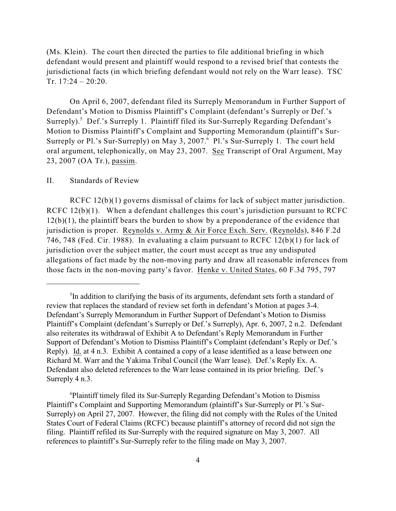(Ms. Klein). The court then directed the parties to file additional briefing in which defendant would present and plaintiff would respond to a revised brief that contests the jurisdictional facts (in which briefing defendant would not rely on the Warr lease). TSC Tr.  $17:24 - 20:20$ .

On April 6, 2007, defendant filed its Surreply Memorandum in Further Support of Defendant's Motion to Dismiss Plaintiff's Complaint (defendant's Surreply or Def.'s Surreply).<sup>5</sup> Def.'s Surreply 1. Plaintiff filed its Sur-Surreply Regarding Defendant's Motion to Dismiss Plaintiff's Complaint and Supporting Memorandum (plaintiff's Sur-Surreply or Pl.'s Sur-Surreply) on May 3, 2007. <sup>6</sup> Pl.'s Sur-Surreply 1. The court held oral argument, telephonically, on May 23, 2007. See Transcript of Oral Argument, May 23, 2007 (OA Tr.), passim.

### II. Standards of Review

RCFC 12(b)(1) governs dismissal of claims for lack of subject matter jurisdiction. RCFC 12(b)(1). When a defendant challenges this court's jurisdiction pursuant to RCFC  $12(b)(1)$ , the plaintiff bears the burden to show by a preponderance of the evidence that jurisdiction is proper. Reynolds v. Army & Air Force Exch. Serv. (Reynolds), 846 F.2d 746, 748 (Fed. Cir. 1988). In evaluating a claim pursuant to RCFC 12(b)(1) for lack of jurisdiction over the subject matter, the court must accept as true any undisputed allegations of fact made by the non-moving party and draw all reasonable inferences from those facts in the non-moving party's favor. Henke v. United States, 60 F.3d 795, 797

 ${}^{5}$ In addition to clarifying the basis of its arguments, defendant sets forth a standard of review that replaces the standard of review set forth in defendant's Motion at pages 3-4. Defendant's Surreply Memorandum in Further Support of Defendant's Motion to Dismiss Plaintiff's Complaint (defendant's Surreply or Def.'s Surreply), Apr. 6, 2007, 2 n.2. Defendant also reiterates its withdrawal of Exhibit A to Defendant's Reply Memorandum in Further Support of Defendant's Motion to Dismiss Plaintiff's Complaint (defendant's Reply or Def.'s Reply). Id. at 4 n.3. Exhibit A contained a copy of a lease identified as a lease between one Richard M. Warr and the Yakima Tribal Council (the Warr lease). Def.'s Reply Ex. A. Defendant also deleted references to the Warr lease contained in its prior briefing. Def.'s Surreply 4 n.3.

<sup>&</sup>lt;sup>6</sup>Plaintiff timely filed its Sur-Surreply Regarding Defendant's Motion to Dismiss Plaintiff's Complaint and Supporting Memorandum (plaintiff's Sur-Surreply or Pl.'s Sur-Surreply) on April 27, 2007. However, the filing did not comply with the Rules of the United States Court of Federal Claims (RCFC) because plaintiff's attorney of record did not sign the filing. Plaintiff refiled its Sur-Surreply with the required signature on May 3, 2007. All references to plaintiff's Sur-Surreply refer to the filing made on May 3, 2007.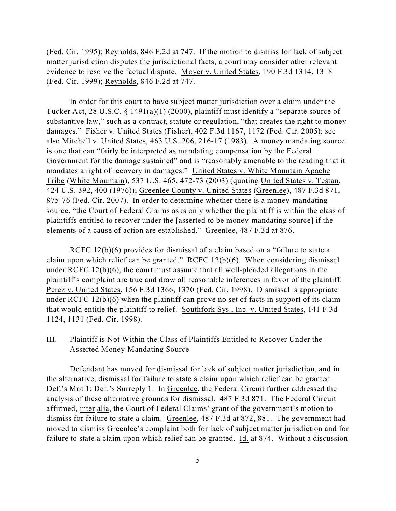(Fed. Cir. 1995); Reynolds, 846 F.2d at 747. If the motion to dismiss for lack of subject matter jurisdiction disputes the jurisdictional facts, a court may consider other relevant evidence to resolve the factual dispute. Moyer v. United States, 190 F.3d 1314, 1318 (Fed. Cir. 1999); Reynolds, 846 F.2d at 747.

In order for this court to have subject matter jurisdiction over a claim under the Tucker Act, 28 U.S.C. § 1491(a)(1) (2000), plaintiff must identify a "separate source of substantive law," such as a contract, statute or regulation, "that creates the right to money damages." Fisher v. United States (Fisher), 402 F.3d 1167, 1172 (Fed. Cir. 2005); see also Mitchell v. United States, 463 U.S. 206, 216-17 (1983). A money mandating source is one that can "fairly be interpreted as mandating compensation by the Federal Government for the damage sustained" and is "reasonably amenable to the reading that it mandates a right of recovery in damages." United States v. White Mountain Apache Tribe (White Mountain), 537 U.S. 465, 472-73 (2003) (quoting United States v. Testan, 424 U.S. 392, 400 (1976)); Greenlee County v. United States (Greenlee), 487 F.3d 871, 875-76 (Fed. Cir. 2007). In order to determine whether there is a money-mandating source, "the Court of Federal Claims asks only whether the plaintiff is within the class of plaintiffs entitled to recover under the [asserted to be money-mandating source] if the elements of a cause of action are established." Greenlee, 487 F.3d at 876.

RCFC 12(b)(6) provides for dismissal of a claim based on a "failure to state a claim upon which relief can be granted." RCFC  $12(b)(6)$ . When considering dismissal under RCFC 12(b)(6), the court must assume that all well-pleaded allegations in the plaintiff's complaint are true and draw all reasonable inferences in favor of the plaintiff. Perez v. United States, 156 F.3d 1366, 1370 (Fed. Cir. 1998). Dismissal is appropriate under RCFC 12(b)(6) when the plaintiff can prove no set of facts in support of its claim that would entitle the plaintiff to relief. Southfork Sys., Inc. v. United States, 141 F.3d 1124, 1131 (Fed. Cir. 1998).

III. Plaintiff is Not Within the Class of Plaintiffs Entitled to Recover Under the Asserted Money-Mandating Source

Defendant has moved for dismissal for lack of subject matter jurisdiction, and in the alternative, dismissal for failure to state a claim upon which relief can be granted. Def.'s Mot 1; Def.'s Surreply 1. In Greenlee, the Federal Circuit further addressed the analysis of these alternative grounds for dismissal. 487 F.3d 871. The Federal Circuit affirmed, inter alia, the Court of Federal Claims' grant of the government's motion to dismiss for failure to state a claim. Greenlee, 487 F.3d at 872, 881. The government had moved to dismiss Greenlee's complaint both for lack of subject matter jurisdiction and for failure to state a claim upon which relief can be granted. Id. at 874. Without a discussion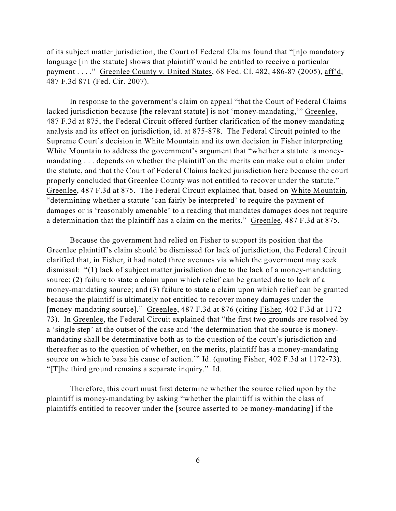of its subject matter jurisdiction, the Court of Federal Claims found that "[n]o mandatory language [in the statute] shows that plaintiff would be entitled to receive a particular payment . . . ." Greenlee County v. United States, 68 Fed. Cl. 482, 486-87 (2005), aff'd, 487 F.3d 871 (Fed. Cir. 2007).

In response to the government's claim on appeal "that the Court of Federal Claims lacked jurisdiction because [the relevant statute] is not 'money-mandating," Greenlee, 487 F.3d at 875, the Federal Circuit offered further clarification of the money-mandating analysis and its effect on jurisdiction, id. at 875-878. The Federal Circuit pointed to the Supreme Court's decision in White Mountain and its own decision in Fisher interpreting White Mountain to address the government's argument that "whether a statute is moneymandating . . . depends on whether the plaintiff on the merits can make out a claim under the statute, and that the Court of Federal Claims lacked jurisdiction here because the court properly concluded that Greenlee County was not entitled to recover under the statute." Greenlee, 487 F.3d at 875. The Federal Circuit explained that, based on White Mountain, "determining whether a statute 'can fairly be interpreted' to require the payment of damages or is 'reasonably amenable' to a reading that mandates damages does not require a determination that the plaintiff has a claim on the merits." Greenlee, 487 F.3d at 875.

Because the government had relied on Fisher to support its position that the Greenlee plaintiff's claim should be dismissed for lack of jurisdiction, the Federal Circuit clarified that, in Fisher, it had noted three avenues via which the government may seek dismissal: "(1) lack of subject matter jurisdiction due to the lack of a money-mandating source; (2) failure to state a claim upon which relief can be granted due to lack of a money-mandating source; and (3) failure to state a claim upon which relief can be granted because the plaintiff is ultimately not entitled to recover money damages under the [money-mandating source]." Greenlee, 487 F.3d at 876 (citing Fisher, 402 F.3d at 1172- 73). In Greenlee, the Federal Circuit explained that "the first two grounds are resolved by a 'single step' at the outset of the case and 'the determination that the source is moneymandating shall be determinative both as to the question of the court's jurisdiction and thereafter as to the question of whether, on the merits, plaintiff has a money-mandating source on which to base his cause of action.'" Id. (quoting Fisher, 402 F.3d at 1172-73). "[T]he third ground remains a separate inquiry." Id.

Therefore, this court must first determine whether the source relied upon by the plaintiff is money-mandating by asking "whether the plaintiff is within the class of plaintiffs entitled to recover under the [source asserted to be money-mandating] if the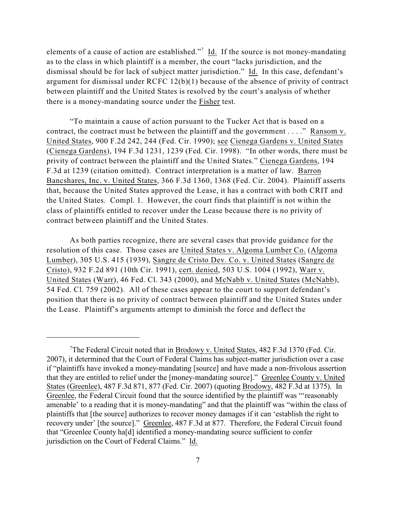elements of a cause of action are established."<sup>7</sup> Id. If the source is not money-mandating as to the class in which plaintiff is a member, the court "lacks jurisdiction, and the dismissal should be for lack of subject matter jurisdiction." Id. In this case, defendant's argument for dismissal under RCFC 12(b)(1) because of the absence of privity of contract between plaintiff and the United States is resolved by the court's analysis of whether there is a money-mandating source under the Fisher test.

"To maintain a cause of action pursuant to the Tucker Act that is based on a contract, the contract must be between the plaintiff and the government . . . ." Ransom v. United States, 900 F.2d 242, 244 (Fed. Cir. 1990); see Cienega Gardens v. United States (Cienega Gardens), 194 F.3d 1231, 1239 (Fed. Cir. 1998). "In other words, there must be privity of contract between the plaintiff and the United States." Cienega Gardens, 194 F.3d at 1239 (citation omitted). Contract interpretation is a matter of law. Barron Bancshares, Inc. v. United States, 366 F.3d 1360, 1368 (Fed. Cir. 2004). Plaintiff asserts that, because the United States approved the Lease, it has a contract with both CRIT and the United States. Compl. 1. However, the court finds that plaintiff is not within the class of plaintiffs entitled to recover under the Lease because there is no privity of contract between plaintiff and the United States.

As both parties recognize, there are several cases that provide guidance for the resolution of this case. Those cases are United States v. Algoma Lumber Co. (Algoma Lumber), 305 U.S. 415 (1939), Sangre de Cristo Dev. Co. v. United States (Sangre de Cristo), 932 F.2d 891 (10th Cir. 1991), cert. denied, 503 U.S. 1004 (1992), Warr v. United States (Warr), 46 Fed. Cl. 343 (2000), and McNabb v. United States (McNabb), 54 Fed. Cl. 759 (2002). All of these cases appear to the court to support defendant's position that there is no privity of contract between plaintiff and the United States under the Lease. Plaintiff's arguments attempt to diminish the force and deflect the

<sup>&</sup>lt;sup>7</sup>The Federal Circuit noted that in Brodowy v. United States,  $482$  F.3d 1370 (Fed. Cir. 2007), it determined that the Court of Federal Claims has subject-matter jurisdiction over a case if "plaintiffs have invoked a money-mandating [source] and have made a non-frivolous assertion that they are entitled to relief under the [money-mandating source]." Greenlee County v. United States (Greenlee), 487 F.3d 871, 877 (Fed. Cir. 2007) (quoting Brodowy, 482 F.3d at 1375). In Greenlee, the Federal Circuit found that the source identified by the plaintiff was "'reasonably amenable' to a reading that it is money-mandating" and that the plaintiff was "within the class of plaintiffs that [the source] authorizes to recover money damages if it can 'establish the right to recovery under' [the source]." Greenlee, 487 F.3d at 877. Therefore, the Federal Circuit found that "Greenlee County ha[d] identified a money-mandating source sufficient to confer jurisdiction on the Court of Federal Claims." Id.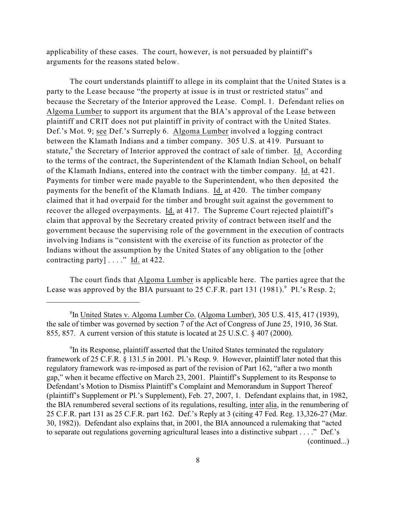applicability of these cases. The court, however, is not persuaded by plaintiff's arguments for the reasons stated below.

The court understands plaintiff to allege in its complaint that the United States is a party to the Lease because "the property at issue is in trust or restricted status" and because the Secretary of the Interior approved the Lease. Compl. 1. Defendant relies on Algoma Lumber to support its argument that the BIA's approval of the Lease between plaintiff and CRIT does not put plaintiff in privity of contract with the United States. Def.'s Mot. 9; see Def.'s Surreply 6. Algoma Lumber involved a logging contract between the Klamath Indians and a timber company. 305 U.S. at 419. Pursuant to statute, $\delta$  the Secretary of Interior approved the contract of sale of timber. Id. According to the terms of the contract, the Superintendent of the Klamath Indian School, on behalf of the Klamath Indians, entered into the contract with the timber company. Id. at 421. Payments for timber were made payable to the Superintendent, who then deposited the payments for the benefit of the Klamath Indians. Id. at 420. The timber company claimed that it had overpaid for the timber and brought suit against the government to recover the alleged overpayments. Id. at 417. The Supreme Court rejected plaintiff's claim that approval by the Secretary created privity of contract between itself and the government because the supervising role of the government in the execution of contracts involving Indians is "consistent with the exercise of its function as protector of the Indians without the assumption by the United States of any obligation to the [other contracting party] . . . ." Id. at 422.

The court finds that Algoma Lumber is applicable here. The parties agree that the Lease was approved by the BIA pursuant to  $25$  C.F.R. part  $131$  (1981). <sup>9</sup> Pl.'s Resp. 2;

<sup>&</sup>lt;sup>8</sup>In United States v. Algoma Lumber Co. (Algoma Lumber), 305 U.S. 415, 417 (1939), the sale of timber was governed by section 7 of the Act of Congress of June 25, 1910, 36 Stat. 855, 857. A current version of this statute is located at 25 U.S.C. § 407 (2000).

 $\rm{P}$ In its Response, plaintiff asserted that the United States terminated the regulatory framework of 25 C.F.R. § 131.5 in 2001. Pl.'s Resp. 9. However, plaintiff later noted that this regulatory framework was re-imposed as part of the revision of Part 162, "after a two month gap," when it became effective on March 23, 2001. Plaintiff's Supplement to its Response to Defendant's Motion to Dismiss Plaintiff's Complaint and Memorandum in Support Thereof (plaintiff's Supplement or Pl.'s Supplement), Feb. 27, 2007, 1. Defendant explains that, in 1982, the BIA renumbered several sections of its regulations, resulting, inter alia, in the renumbering of 25 C.F.R. part 131 as 25 C.F.R. part 162. Def.'s Reply at 3 (citing 47 Fed. Reg. 13,326-27 (Mar. 30, 1982)). Defendant also explains that, in 2001, the BIA announced a rulemaking that "acted to separate out regulations governing agricultural leases into a distinctive subpart . . . ." Def.'s (continued...)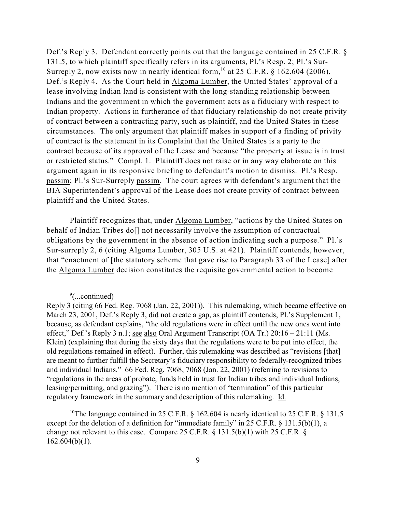Def.'s Reply 3. Defendant correctly points out that the language contained in 25 C.F.R. § 131.5, to which plaintiff specifically refers in its arguments, Pl.'s Resp. 2; Pl.'s Sur-Surreply 2, now exists now in nearly identical form,  $^{10}$  at 25 C.F.R. § 162.604 (2006), Def.'s Reply 4. As the Court held in Algoma Lumber, the United States' approval of a lease involving Indian land is consistent with the long-standing relationship between Indians and the government in which the government acts as a fiduciary with respect to Indian property. Actions in furtherance of that fiduciary relationship do not create privity of contract between a contracting party, such as plaintiff, and the United States in these circumstances. The only argument that plaintiff makes in support of a finding of privity of contract is the statement in its Complaint that the United States is a party to the contract because of its approval of the Lease and because "the property at issue is in trust or restricted status." Compl. 1. Plaintiff does not raise or in any way elaborate on this argument again in its responsive briefing to defendant's motion to dismiss. Pl.'s Resp. passim; Pl.'s Sur-Surreply passim. The court agrees with defendant's argument that the BIA Superintendent's approval of the Lease does not create privity of contract between plaintiff and the United States.

Plaintiff recognizes that, under Algoma Lumber, "actions by the United States on behalf of Indian Tribes do<sup>[]</sup> not necessarily involve the assumption of contractual obligations by the government in the absence of action indicating such a purpose." Pl.'s Sur-surreply 2, 6 (citing Algoma Lumber, 305 U.S. at 421). Plaintiff contends, however, that "enactment of [the statutory scheme that gave rise to Paragraph 33 of the Lease] after the Algoma Lumber decision constitutes the requisite governmental action to become

 $\degree$ (...continued)

Reply 3 (citing 66 Fed. Reg. 7068 (Jan. 22, 2001)). This rulemaking, which became effective on March 23, 2001, Def.'s Reply 3, did not create a gap, as plaintiff contends, Pl.'s Supplement 1, because, as defendant explains, "the old regulations were in effect until the new ones went into effect," Def.'s Reply 3 n.1; see also Oral Argument Transcript (OA Tr.) 20:16 – 21:11 (Ms. Klein) (explaining that during the sixty days that the regulations were to be put into effect, the old regulations remained in effect). Further, this rulemaking was described as "revisions [that] are meant to further fulfill the Secretary's fiduciary responsibility to federally-recognized tribes and individual Indians." 66 Fed. Reg. 7068, 7068 (Jan. 22, 2001) (referring to revisions to "regulations in the areas of probate, funds held in trust for Indian tribes and individual Indians, leasing/permitting, and grazing"). There is no mention of "termination" of this particular regulatory framework in the summary and description of this rulemaking. Id.

<sup>&</sup>lt;sup>10</sup>The language contained in 25 C.F.R.  $\&$  162.604 is nearly identical to 25 C.F.R.  $\&$  131.5 except for the deletion of a definition for "immediate family" in 25 C.F.R. § 131.5(b)(1), a change not relevant to this case. Compare 25 C.F.R. § 131.5(b)(1) with 25 C.F.R. §  $162.604(b)(1)$ .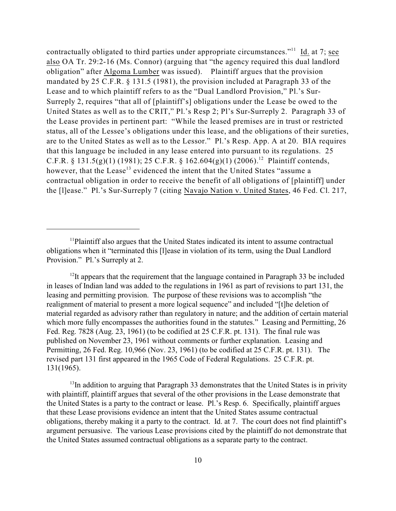contractually obligated to third parties under appropriate circumstances."<sup>11</sup> Id. at 7; see also OA Tr. 29:2-16 (Ms. Connor) (arguing that "the agency required this dual landlord obligation" after Algoma Lumber was issued). Plaintiff argues that the provision mandated by 25 C.F.R. § 131.5 (1981), the provision included at Paragraph 33 of the Lease and to which plaintiff refers to as the "Dual Landlord Provision," Pl.'s Sur-Surreply 2, requires "that all of [plaintiff's] obligations under the Lease be owed to the United States as well as to the CRIT," Pl.'s Resp 2; Pl's Sur-Surreply 2. Paragraph 33 of the Lease provides in pertinent part: "While the leased premises are in trust or restricted status, all of the Lessee's obligations under this lease, and the obligations of their sureties, are to the United States as well as to the Lessor." Pl.'s Resp. App. A at 20. BIA requires that this language be included in any lease entered into pursuant to its regulations. 25 C.F.R. § 131.5(g)(1) (1981); 25 C.F.R. § 162.604(g)(1) (2006).<sup>12</sup> Plaintiff contends, however, that the Lease<sup>13</sup> evidenced the intent that the United States "assume a contractual obligation in order to receive the benefit of all obligations of [plaintiff] under the [l]ease." Pl.'s Sur-Surreply 7 (citing Navajo Nation v. United States, 46 Fed. Cl. 217,

 $13$ In addition to arguing that Paragraph 33 demonstrates that the United States is in privity with plaintiff, plaintiff argues that several of the other provisions in the Lease demonstrate that the United States is a party to the contract or lease. Pl.'s Resp. 6. Specifically, plaintiff argues that these Lease provisions evidence an intent that the United States assume contractual obligations, thereby making it a party to the contract. Id. at 7. The court does not find plaintiff's argument persuasive. The various Lease provisions cited by the plaintiff do not demonstrate that the United States assumed contractual obligations as a separate party to the contract.

 $<sup>11</sup>$ Plaintiff also argues that the United States indicated its intent to assume contractual</sup> obligations when it "terminated this [l]ease in violation of its term, using the Dual Landlord Provision." Pl.'s Surreply at 2.

 $12$ It appears that the requirement that the language contained in Paragraph 33 be included in leases of Indian land was added to the regulations in 1961 as part of revisions to part 131, the leasing and permitting provision. The purpose of these revisions was to accomplish "the realignment of material to present a more logical sequence" and included "[t]he deletion of material regarded as advisory rather than regulatory in nature; and the addition of certain material which more fully encompasses the authorities found in the statutes." Leasing and Permitting, 26 Fed. Reg. 7828 (Aug. 23, 1961) (to be codified at 25 C.F.R. pt. 131). The final rule was published on November 23, 1961 without comments or further explanation. Leasing and Permitting, 26 Fed. Reg. 10,966 (Nov. 23, 1961) (to be codified at 25 C.F.R. pt. 131). The revised part 131 first appeared in the 1965 Code of Federal Regulations. 25 C.F.R. pt. 131(1965).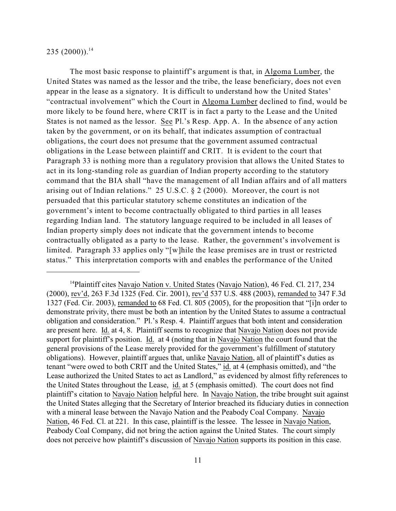$235(2000))$ .<sup>14</sup>

The most basic response to plaintiff's argument is that, in Algoma Lumber, the United States was named as the lessor and the tribe, the lease beneficiary, does not even appear in the lease as a signatory. It is difficult to understand how the United States' "contractual involvement" which the Court in Algoma Lumber declined to find, would be more likely to be found here, where CRIT is in fact a party to the Lease and the United States is not named as the lessor. See Pl.'s Resp. App. A. In the absence of any action taken by the government, or on its behalf, that indicates assumption of contractual obligations, the court does not presume that the government assumed contractual obligations in the Lease between plaintiff and CRIT. It is evident to the court that Paragraph 33 is nothing more than a regulatory provision that allows the United States to act in its long-standing role as guardian of Indian property according to the statutory command that the BIA shall "have the management of all Indian affairs and of all matters arising out of Indian relations." 25 U.S.C. § 2 (2000). Moreover, the court is not persuaded that this particular statutory scheme constitutes an indication of the government's intent to become contractually obligated to third parties in all leases regarding Indian land. The statutory language required to be included in all leases of Indian property simply does not indicate that the government intends to become contractually obligated as a party to the lease. Rather, the government's involvement is limited. Paragraph 33 applies only "[w]hile the lease premises are in trust or restricted status." This interpretation comports with and enables the performance of the United

<sup>&</sup>lt;sup>14</sup>Plaintiff cites Navajo Nation v. United States (Navajo Nation), 46 Fed. Cl. 217, 234 (2000), rev'd, 263 F.3d 1325 (Fed. Cir. 2001), rev'd 537 U.S. 488 (2003), remanded to 347 F.3d 1327 (Fed. Cir. 2003), remanded to 68 Fed. Cl. 805 (2005), for the proposition that "[i]n order to demonstrate privity, there must be both an intention by the United States to assume a contractual obligation and consideration." Pl.'s Resp. 4. Plaintiff argues that both intent and consideration are present here. Id. at 4, 8. Plaintiff seems to recognize that Navajo Nation does not provide support for plaintiff's position. Id. at 4 (noting that in Navajo Nation the court found that the general provisions of the Lease merely provided for the government's fulfillment of statutory obligations). However, plaintiff argues that, unlike Navajo Nation, all of plaintiff's duties as tenant "were owed to both CRIT and the United States," id. at 4 (emphasis omitted), and "the Lease authorized the United States to act as Landlord," as evidenced by almost fifty references to the United States throughout the Lease, id. at 5 (emphasis omitted). The court does not find plaintiff's citation to Navajo Nation helpful here. In Navajo Nation, the tribe brought suit against the United States alleging that the Secretary of Interior breached its fiduciary duties in connection with a mineral lease between the Navajo Nation and the Peabody Coal Company. Navajo Nation, 46 Fed. Cl. at 221. In this case, plaintiff is the lessee. The lessee in Navajo Nation, Peabody Coal Company, did not bring the action against the United States. The court simply does not perceive how plaintiff's discussion of Navajo Nation supports its position in this case.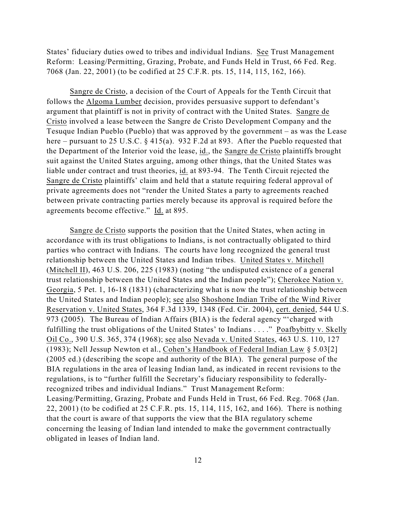States' fiduciary duties owed to tribes and individual Indians. See Trust Management Reform: Leasing/Permitting, Grazing, Probate, and Funds Held in Trust, 66 Fed. Reg. 7068 (Jan. 22, 2001) (to be codified at 25 C.F.R. pts. 15, 114, 115, 162, 166).

Sangre de Cristo, a decision of the Court of Appeals for the Tenth Circuit that follows the Algoma Lumber decision, provides persuasive support to defendant's argument that plaintiff is not in privity of contract with the United States. Sangre de Cristo involved a lease between the Sangre de Cristo Development Company and the Tesuque Indian Pueblo (Pueblo) that was approved by the government – as was the Lease here – pursuant to 25 U.S.C.  $\S$  415(a). 932 F.2d at 893. After the Pueblo requested that the Department of the Interior void the lease, id., the Sangre de Cristo plaintiffs brought suit against the United States arguing, among other things, that the United States was liable under contract and trust theories, id. at 893-94. The Tenth Circuit rejected the Sangre de Cristo plaintiffs' claim and held that a statute requiring federal approval of private agreements does not "render the United States a party to agreements reached between private contracting parties merely because its approval is required before the agreements become effective." Id. at 895.

Sangre de Cristo supports the position that the United States, when acting in accordance with its trust obligations to Indians, is not contractually obligated to third parties who contract with Indians. The courts have long recognized the general trust relationship between the United States and Indian tribes. United States v. Mitchell (Mitchell II), 463 U.S. 206, 225 (1983) (noting "the undisputed existence of a general trust relationship between the United States and the Indian people"); Cherokee Nation v. Georgia, 5 Pet. 1, 16-18 (1831) (characterizing what is now the trust relationship between the United States and Indian people); see also Shoshone Indian Tribe of the Wind River Reservation v. United States, 364 F.3d 1339, 1348 (Fed. Cir. 2004), cert. denied, 544 U.S. 973 (2005). The Bureau of Indian Affairs (BIA) is the federal agency "'charged with fulfilling the trust obligations of the United States' to Indians . . . ." Poafbybitty v. Skelly Oil Co., 390 U.S. 365, 374 (1968); see also Nevada v. United States, 463 U.S. 110, 127 (1983); Nell Jessup Newton et al., Cohen's Handbook of Federal Indian Law § 5.03[2] (2005 ed.) (describing the scope and authority of the BIA). The general purpose of the BIA regulations in the area of leasing Indian land, as indicated in recent revisions to the regulations, is to "further fulfill the Secretary's fiduciary responsibility to federallyrecognized tribes and individual Indians." Trust Management Reform: Leasing/Permitting, Grazing, Probate and Funds Held in Trust, 66 Fed. Reg. 7068 (Jan. 22, 2001) (to be codified at 25 C.F.R. pts. 15, 114, 115, 162, and 166). There is nothing that the court is aware of that supports the view that the BIA regulatory scheme concerning the leasing of Indian land intended to make the government contractually obligated in leases of Indian land.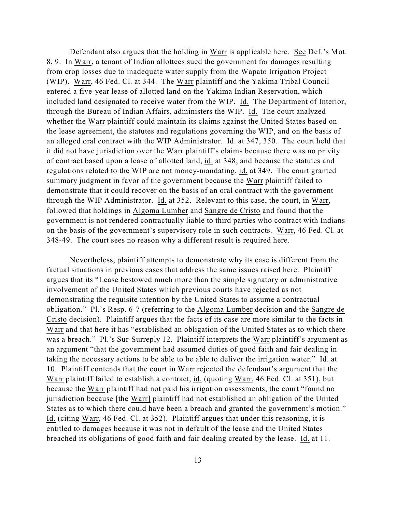Defendant also argues that the holding in Warr is applicable here. See Def.'s Mot. 8, 9. In Warr, a tenant of Indian allottees sued the government for damages resulting from crop losses due to inadequate water supply from the Wapato Irrigation Project (WIP). Warr, 46 Fed. Cl. at 344. The Warr plaintiff and the Yakima Tribal Council entered a five-year lease of allotted land on the Yakima Indian Reservation, which included land designated to receive water from the WIP. Id. The Department of Interior, through the Bureau of Indian Affairs, administers the WIP. Id. The court analyzed whether the Warr plaintiff could maintain its claims against the United States based on the lease agreement, the statutes and regulations governing the WIP, and on the basis of an alleged oral contract with the WIP Administrator. Id. at 347, 350. The court held that it did not have jurisdiction over the Warr plaintiff's claims because there was no privity of contract based upon a lease of allotted land, id. at 348, and because the statutes and regulations related to the WIP are not money-mandating, id. at 349. The court granted summary judgment in favor of the government because the Warr plaintiff failed to demonstrate that it could recover on the basis of an oral contract with the government through the WIP Administrator. Id. at 352. Relevant to this case, the court, in Warr, followed that holdings in Algoma Lumber and Sangre de Cristo and found that the government is not rendered contractually liable to third parties who contract with Indians on the basis of the government's supervisory role in such contracts. Warr, 46 Fed. Cl. at 348-49. The court sees no reason why a different result is required here.

Nevertheless, plaintiff attempts to demonstrate why its case is different from the factual situations in previous cases that address the same issues raised here. Plaintiff argues that its "Lease bestowed much more than the simple signatory or administrative involvement of the United States which previous courts have rejected as not demonstrating the requisite intention by the United States to assume a contractual obligation." Pl.'s Resp. 6-7 (referring to the Algoma Lumber decision and the Sangre de Cristo decision). Plaintiff argues that the facts of its case are more similar to the facts in Warr and that here it has "established an obligation of the United States as to which there was a breach." Pl.'s Sur-Surreply 12. Plaintiff interprets the Warr plaintiff's argument as an argument "that the government had assumed duties of good faith and fair dealing in taking the necessary actions to be able to be able to deliver the irrigation water." Id. at 10. Plaintiff contends that the court in Warr rejected the defendant's argument that the Warr plaintiff failed to establish a contract, id. (quoting Warr, 46 Fed. Cl. at 351), but because the Warr plaintiff had not paid his irrigation assessments, the court "found no jurisdiction because [the Warr] plaintiff had not established an obligation of the United States as to which there could have been a breach and granted the government's motion." Id. (citing Warr, 46 Fed. Cl. at 352). Plaintiff argues that under this reasoning, it is entitled to damages because it was not in default of the lease and the United States breached its obligations of good faith and fair dealing created by the lease. Id. at 11.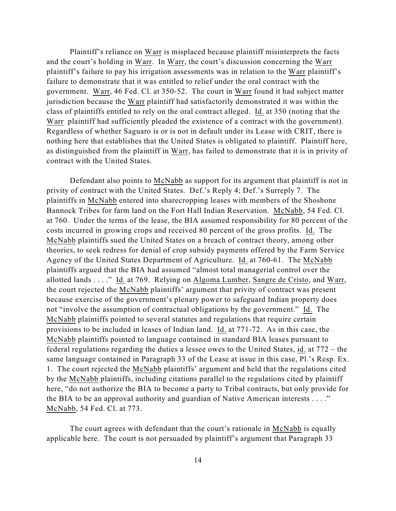Plaintiff's reliance on Warr is misplaced because plaintiff misinterprets the facts and the court's holding in Warr. In Warr, the court's discussion concerning the Warr plaintiff's failure to pay his irrigation assessments was in relation to the Warr plaintiff's failure to demonstrate that it was entitled to relief under the oral contract with the government. Warr, 46 Fed. Cl. at 350-52. The court in Warr found it had subject matter jurisdiction because the Warr plaintiff had satisfactorily demonstrated it was within the class of plaintiffs entitled to rely on the oral contract alleged. Id. at 350 (noting that the Warr plaintiff had sufficiently pleaded the existence of a contract with the government). Regardless of whether Saguaro is or is not in default under its Lease with CRIT, there is nothing here that establishes that the United States is obligated to plaintiff. Plaintiff here, as distinguished from the plaintiff in Warr, has failed to demonstrate that it is in privity of contract with the United States.

Defendant also points to McNabb as support for its argument that plaintiff is not in privity of contract with the United States. Def.'s Reply 4; Def.'s Surreply 7. The plaintiffs in McNabb entered into sharecropping leases with members of the Shoshone Bannock Tribes for farm land on the Fort Hall Indian Reservation. McNabb, 54 Fed. Cl. at 760. Under the terms of the lease, the BIA assumed responsibility for 80 percent of the costs incurred in growing crops and received 80 percent of the gross profits. Id. The McNabb plaintiffs sued the United States on a breach of contract theory, among other theories, to seek redress for denial of crop subsidy payments offered by the Farm Service Agency of the United States Department of Agriculture. Id. at 760-61. The McNabb plaintiffs argued that the BIA had assumed "almost total managerial control over the allotted lands . . . ." Id. at 769. Relying on Algoma Lumber, Sangre de Cristo, and Warr, the court rejected the McNabb plaintiffs' argument that privity of contract was present because exercise of the government's plenary power to safeguard Indian property does not "involve the assumption of contractual obligations by the government." Id. The McNabb plaintiffs pointed to several statutes and regulations that require certain provisions to be included in leases of Indian land. Id. at 771-72. As in this case, the McNabb plaintiffs pointed to language contained in standard BIA leases pursuant to federal regulations regarding the duties a lessee owes to the United States, id. at 772 – the same language contained in Paragraph 33 of the Lease at issue in this case, Pl.'s Resp. Ex. 1. The court rejected the McNabb plaintiffs' argument and held that the regulations cited by the McNabb plaintiffs, including citations parallel to the regulations cited by plaintiff here, "do not authorize the BIA to become a party to Tribal contracts, but only provide for the BIA to be an approval authority and guardian of Native American interests . . . ." McNabb, 54 Fed. Cl. at 773.

The court agrees with defendant that the court's rationale in McNabb is equally applicable here. The court is not persuaded by plaintiff's argument that Paragraph 33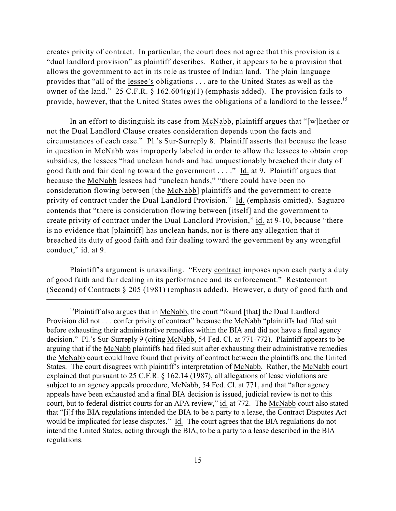creates privity of contract. In particular, the court does not agree that this provision is a "dual landlord provision" as plaintiff describes. Rather, it appears to be a provision that allows the government to act in its role as trustee of Indian land. The plain language provides that "all of the lessee's obligations . . . are to the United States as well as the owner of the land." 25 C.F.R. § 162.604(g)(1) (emphasis added). The provision fails to provide, however, that the United States owes the obligations of a landlord to the lessee.<sup>15</sup>

In an effort to distinguish its case from McNabb, plaintiff argues that "[w]hether or not the Dual Landlord Clause creates consideration depends upon the facts and circumstances of each case." Pl.'s Sur-Surreply 8. Plaintiff asserts that because the lease in question in McNabb was improperly labeled in order to allow the lessees to obtain crop subsidies, the lessees "had unclean hands and had unquestionably breached their duty of good faith and fair dealing toward the government . . . ." Id. at 9. Plaintiff argues that because the McNabb lessees had "unclean hands," "there could have been no consideration flowing between [the McNabb] plaintiffs and the government to create privity of contract under the Dual Landlord Provision." Id. (emphasis omitted). Saguaro contends that "there is consideration flowing between [itself] and the government to create privity of contract under the Dual Landlord Provision," id. at 9-10, because "there is no evidence that [plaintiff] has unclean hands, nor is there any allegation that it breached its duty of good faith and fair dealing toward the government by any wrongful conduct," id. at 9.

Plaintiff's argument is unavailing. "Every contract imposes upon each party a duty of good faith and fair dealing in its performance and its enforcement." Restatement (Second) of Contracts § 205 (1981) (emphasis added). However, a duty of good faith and

<sup>&</sup>lt;sup>15</sup>Plaintiff also argues that in McNabb, the court "found [that] the Dual Landlord Provision did not . . . confer privity of contract" because the McNabb "plaintiffs had filed suit before exhausting their administrative remedies within the BIA and did not have a final agency decision." Pl.'s Sur-Surreply 9 (citing McNabb, 54 Fed. Cl. at 771-772). Plaintiff appears to be arguing that if the McNabb plaintiffs had filed suit after exhausting their administrative remedies the McNabb court could have found that privity of contract between the plaintiffs and the United States. The court disagrees with plaintiff's interpretation of McNabb. Rather, the McNabb court explained that pursuant to 25 C.F.R. § 162.14 (1987), all allegations of lease violations are subject to an agency appeals procedure, McNabb, 54 Fed. Cl. at 771, and that "after agency appeals have been exhausted and a final BIA decision is issued, judicial review is not to this court, but to federal district courts for an APA review," id. at 772. The McNabb court also stated that "[i]f the BIA regulations intended the BIA to be a party to a lease, the Contract Disputes Act would be implicated for lease disputes." Id. The court agrees that the BIA regulations do not intend the United States, acting through the BIA, to be a party to a lease described in the BIA regulations.